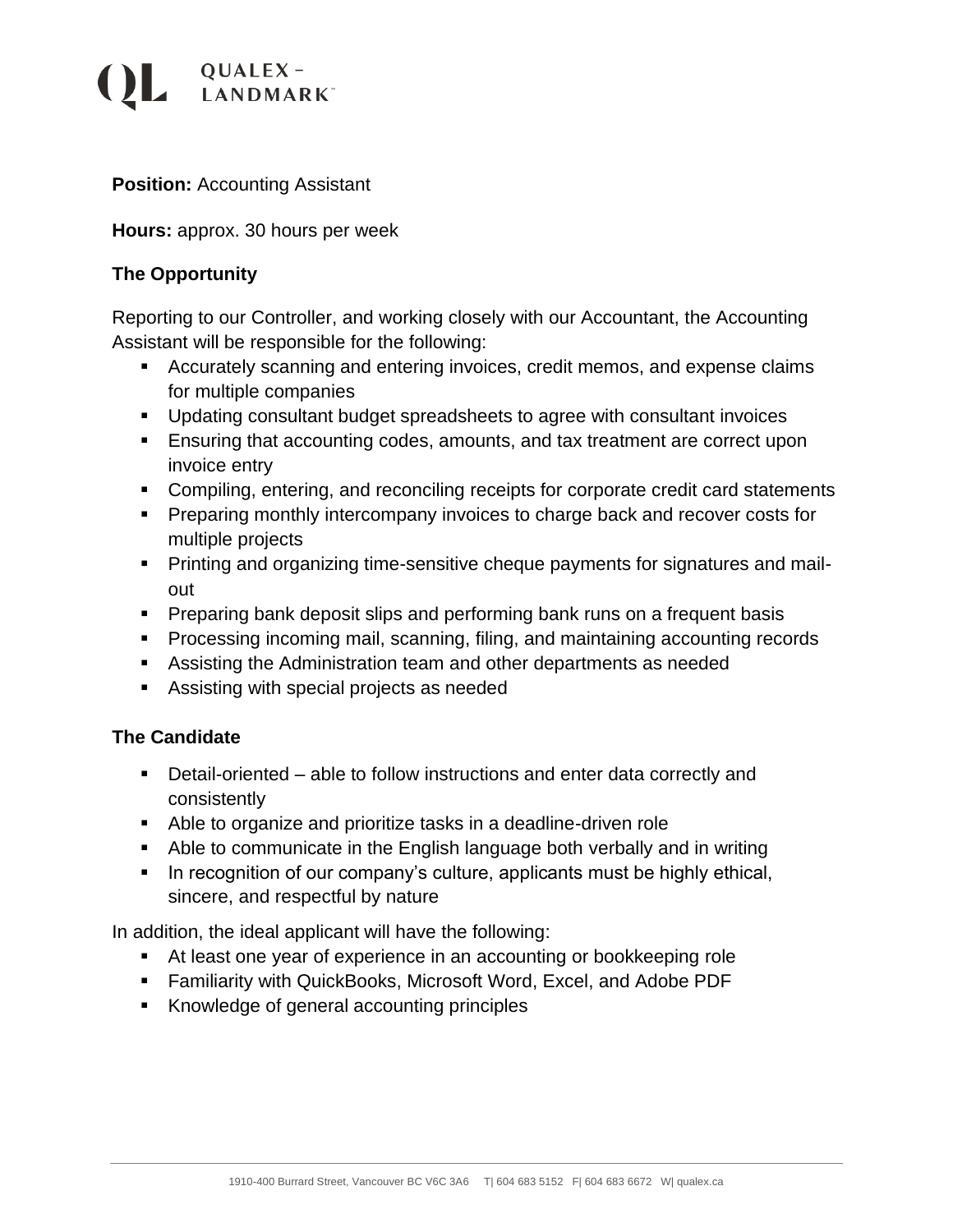# $\overline{QUALEX}$ LANDMARK<sup>\*</sup>

### **Position: Accounting Assistant**

#### **Hours:** approx. 30 hours per week

### **The Opportunity**

Reporting to our Controller, and working closely with our Accountant, the Accounting Assistant will be responsible for the following:

- Accurately scanning and entering invoices, credit memos, and expense claims for multiple companies
- Updating consultant budget spreadsheets to agree with consultant invoices
- Ensuring that accounting codes, amounts, and tax treatment are correct upon invoice entry
- Compiling, entering, and reconciling receipts for corporate credit card statements
- Preparing monthly intercompany invoices to charge back and recover costs for multiple projects
- **•** Printing and organizing time-sensitive cheque payments for signatures and mailout
- **•** Preparing bank deposit slips and performing bank runs on a frequent basis
- Processing incoming mail, scanning, filing, and maintaining accounting records
- **EXE** Assisting the Administration team and other departments as needed
- Assisting with special projects as needed

#### **The Candidate**

- Detail-oriented able to follow instructions and enter data correctly and consistently
- Able to organize and prioritize tasks in a deadline-driven role
- Able to communicate in the English language both verbally and in writing
- **•** In recognition of our company's culture, applicants must be highly ethical, sincere, and respectful by nature

In addition, the ideal applicant will have the following:

- At least one year of experience in an accounting or bookkeeping role
- Familiarity with QuickBooks, Microsoft Word, Excel, and Adobe PDF
- Knowledge of general accounting principles